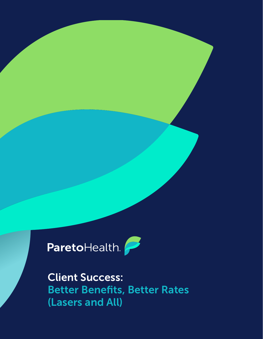ParetoHealth.

Client Success: Better Benefits, Better Rates (Lasers and All)